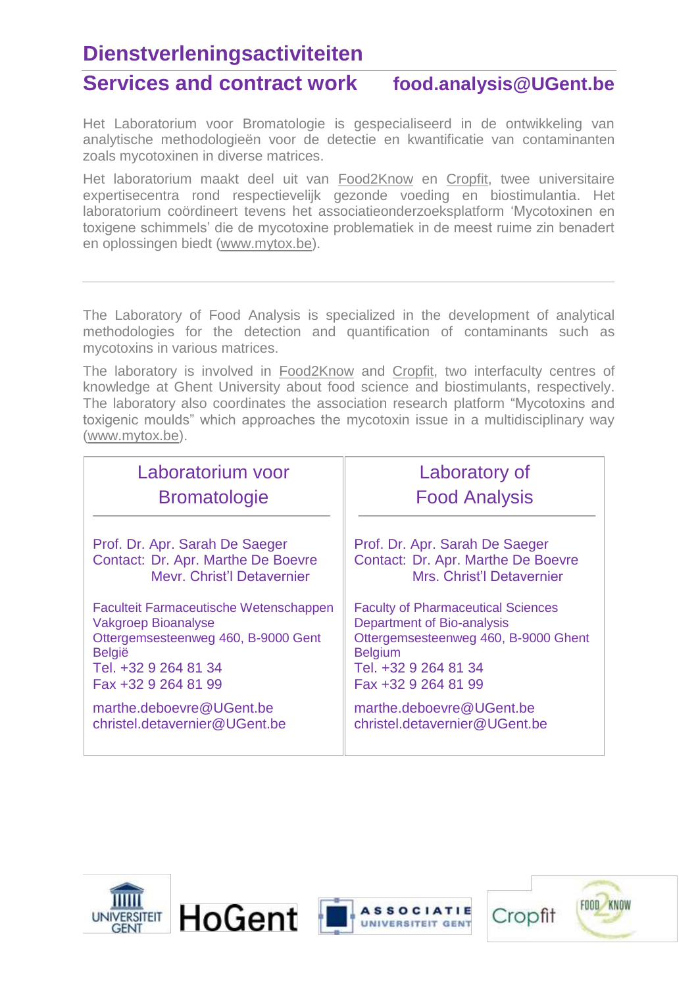### **Dienstverleningsactiviteiten**

### **Services and contract work food.analysis@UGent.be**

Het Laboratorium voor Bromatologie is gespecialiseerd in de ontwikkeling van analytische methodologieën voor de detectie en kwantificatie van contaminanten zoals mycotoxinen in diverse matrices.

Het laboratorium maakt deel uit van [Food2Know](http://www.food2know.be/) en Cropfit, twee universitaire expertisecentra rond respectievelijk gezonde voeding en biostimulantia. Het laboratorium coördineert tevens het associatieonderzoeksplatform 'Mycotoxinen en toxigene schimmels' die de mycotoxine problematiek in de meest ruime zin benadert en oplossingen biedt [\(www.mytox.be\)](http://www.mytox.be/).

The Laboratory of Food Analysis is specialized in the development of analytical methodologies for the detection and quantification of contaminants such as mycotoxins in various matrices.

The laboratory is involved in [Food2Know](http://www.food2know.be/) and Cropfit, two interfaculty centres of knowledge at Ghent University about food science and biostimulants, respectively. The laboratory also coordinates the association research platform "Mycotoxins and toxigenic moulds" which approaches the mycotoxin issue in a multidisciplinary way (www.mytox.be).

| Laboratorium voor                             | Laboratory of                             |
|-----------------------------------------------|-------------------------------------------|
| <b>Bromatologie</b>                           | <b>Food Analysis</b>                      |
| Prof. Dr. Apr. Sarah De Saeger                | Prof. Dr. Apr. Sarah De Saeger            |
| Contact: Dr. Apr. Marthe De Boevre            | Contact: Dr. Apr. Marthe De Boevre        |
| Mevr. Christ'l Detavernier                    | Mrs. Christ'l Detavernier                 |
| <b>Faculteit Farmaceutische Wetenschappen</b> | <b>Faculty of Pharmaceutical Sciences</b> |
| <b>Vakgroep Bioanalyse</b>                    | Department of Bio-analysis                |
| Ottergemsesteenweg 460, B-9000 Gent           | Ottergemsesteenweg 460, B-9000 Ghent      |
| <b>België</b>                                 | <b>Belgium</b>                            |
| Tel. +32 9 264 81 34                          | Tel. +32 9 264 81 34                      |
| Fax +32 9 264 81 99                           | Fax +32 9 264 81 99                       |
| marthe.deboevre@UGent.be                      | marthe.deboevre@UGent.be                  |
| christel.detavernier@UGent.be                 | christel.detavernier@UGent.be             |







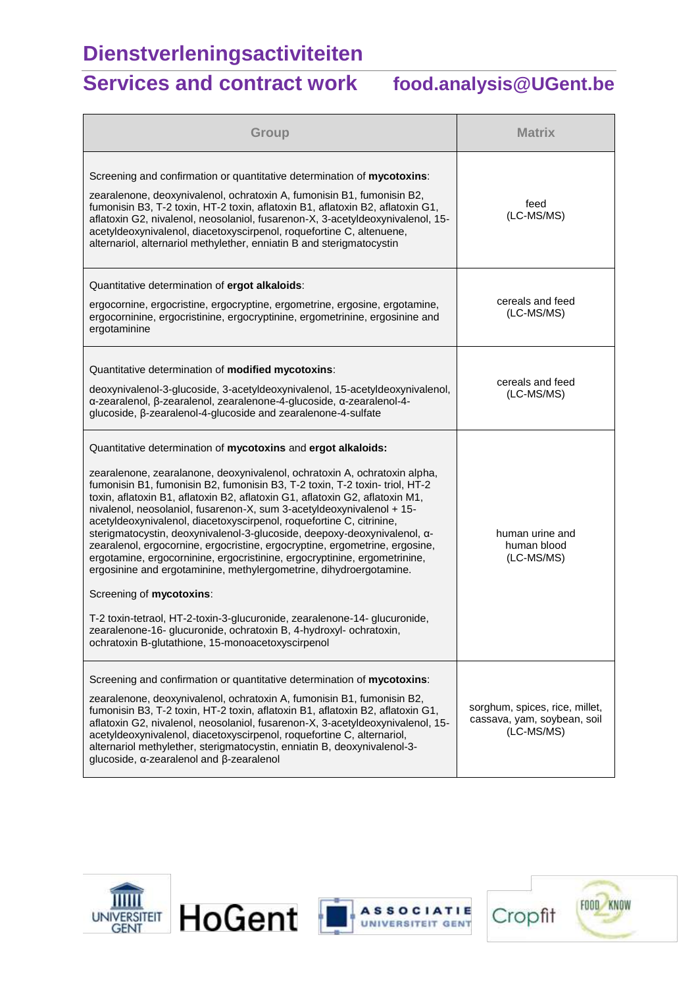# **Dienstverleningsactiviteiten**

### **Services and contract work food.analysis@UGent.be**

| Group                                                                                                                                                                                                                                                                                                                                                                                                                                                                                                                                                                                                                                                                                                                                                                                                                                                                                                                                                                                                        | <b>Matrix</b>                                                               |
|--------------------------------------------------------------------------------------------------------------------------------------------------------------------------------------------------------------------------------------------------------------------------------------------------------------------------------------------------------------------------------------------------------------------------------------------------------------------------------------------------------------------------------------------------------------------------------------------------------------------------------------------------------------------------------------------------------------------------------------------------------------------------------------------------------------------------------------------------------------------------------------------------------------------------------------------------------------------------------------------------------------|-----------------------------------------------------------------------------|
| Screening and confirmation or quantitative determination of mycotoxins:<br>zearalenone, deoxynivalenol, ochratoxin A, fumonisin B1, fumonisin B2,<br>fumonisin B3, T-2 toxin, HT-2 toxin, aflatoxin B1, aflatoxin B2, aflatoxin G1,<br>aflatoxin G2, nivalenol, neosolaniol, fusarenon-X, 3-acetyldeoxynivalenol, 15-<br>acetyldeoxynivalenol, diacetoxyscirpenol, roquefortine C, altenuene,<br>alternariol, alternariol methylether, enniatin B and sterigmatocystin                                                                                                                                                                                                                                                                                                                                                                                                                                                                                                                                       | feed<br>(LC-MS/MS)                                                          |
| Quantitative determination of ergot alkaloids:<br>ergocornine, ergocristine, ergocryptine, ergometrine, ergosine, ergotamine,<br>ergocorninine, ergocristinine, ergocryptinine, ergometrinine, ergosinine and<br>ergotaminine                                                                                                                                                                                                                                                                                                                                                                                                                                                                                                                                                                                                                                                                                                                                                                                | cereals and feed<br>(LC-MS/MS)                                              |
| Quantitative determination of modified mycotoxins:<br>deoxynivalenol-3-glucoside, 3-acetyldeoxynivalenol, 15-acetyldeoxynivalenol,<br>α-zearalenol, β-zearalenol, zearalenone-4-glucoside, α-zearalenol-4-<br>glucoside, β-zearalenol-4-glucoside and zearalenone-4-sulfate                                                                                                                                                                                                                                                                                                                                                                                                                                                                                                                                                                                                                                                                                                                                  | cereals and feed<br>(LC-MS/MS)                                              |
| Quantitative determination of mycotoxins and ergot alkaloids:<br>zearalenone, zearalanone, deoxynivalenol, ochratoxin A, ochratoxin alpha,<br>fumonisin B1, fumonisin B2, fumonisin B3, T-2 toxin, T-2 toxin- triol, HT-2<br>toxin, aflatoxin B1, aflatoxin B2, aflatoxin G1, aflatoxin G2, aflatoxin M1,<br>nivalenol, neosolaniol, fusarenon-X, sum 3-acetyldeoxynivalenol + 15-<br>acetyldeoxynivalenol, diacetoxyscirpenol, roquefortine C, citrinine,<br>sterigmatocystin, deoxynivalenol-3-glucoside, deepoxy-deoxynivalenol, a-<br>zearalenol, ergocornine, ergocristine, ergocryptine, ergometrine, ergosine,<br>ergotamine, ergocorninine, ergocristinine, ergocryptinine, ergometrinine,<br>ergosinine and ergotaminine, methylergometrine, dihydroergotamine.<br>Screening of mycotoxins:<br>T-2 toxin-tetraol, HT-2-toxin-3-glucuronide, zearalenone-14- glucuronide,<br>zearalenone-16- glucuronide, ochratoxin B, 4-hydroxyl- ochratoxin,<br>ochratoxin B-glutathione, 15-monoacetoxyscirpenol | human urine and<br>human blood<br>(LC-MS/MS)                                |
| Screening and confirmation or quantitative determination of mycotoxins:<br>zearalenone, deoxynivalenol, ochratoxin A, fumonisin B1, fumonisin B2,<br>fumonisin B3, T-2 toxin, HT-2 toxin, aflatoxin B1, aflatoxin B2, aflatoxin G1,<br>aflatoxin G2, nivalenol, neosolaniol, fusarenon-X, 3-acetyldeoxynivalenol, 15-<br>acetyldeoxynivalenol, diacetoxyscirpenol, roquefortine C, alternariol,<br>alternariol methylether, sterigmatocystin, enniatin B, deoxynivalenol-3-<br>glucoside, α-zearalenol and β-zearalenol                                                                                                                                                                                                                                                                                                                                                                                                                                                                                      | sorghum, spices, rice, millet,<br>cassava, yam, soybean, soil<br>(LC-MS/MS) |